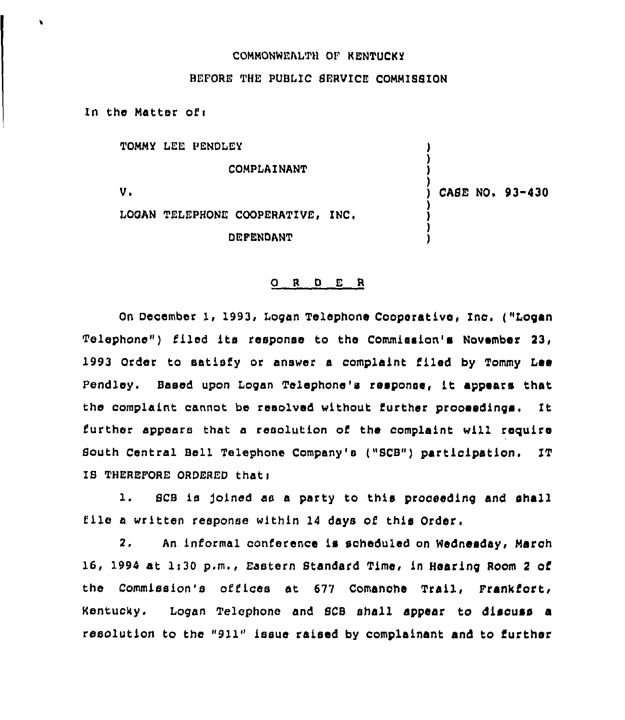## COMMONNEAITH OF KENTUCKY

## BEFORE THE PUBLIC SERVICE COMMISSION

In the Matter of:

TOMMY LEE PENDLEY

COMPLAINANT

Vo

CASE NO. 93-430

LOGAN TELEPHONE COOPERATIVE, INC. **DEFENDANT** 

## 0 <sup>R</sup> <sup>D</sup> E <sup>R</sup>

On December 1, 1993, Logan Telephone Cooperative, Inc. ("Logan Telephone") filed its response to the Commission's November 23, 1993 Order to satisfy or answer a complaint filed by Tommy Lee Pendley. Based upon Logan Telephone's response, it appears that the complaint cannot be resolved without further prooeedings. It further appears that a resolution of the complaint will require South Central Bell Telephone Company's ("SCB") participation. IT IS THEREFORE ORDERED that:

1. SCB is joined as a party to this proceeding and shall file <sup>a</sup> written response within <sup>14</sup> days of this Order.

2. An informal conference is scheduled on Wednesday, March 16, 1994 at li30 p.m., Eastern standard Time, in Hearing Room <sup>2</sup> of the Commission's offices at 677 Comanohe Trail, Frankfort, Kentucky. Logan Telephone and SCB shell appear to discuss a resolution to the "911" issue raised by complainant and to further